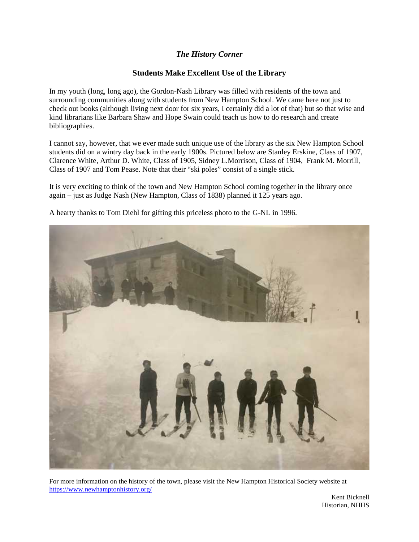## *The History Corner*

## **Students Make Excellent Use of the Library**

In my youth (long, long ago), the Gordon-Nash Library was filled with residents of the town and surrounding communities along with students from New Hampton School. We came here not just to check out books (although living next door for six years, I certainly did a lot of that) but so that wise and kind librarians like Barbara Shaw and Hope Swain could teach us how to do research and create bibliographies.

I cannot say, however, that we ever made such unique use of the library as the six New Hampton School students did on a wintry day back in the early 1900s. Pictured below are Stanley Erskine, Class of 1907, Clarence White, Arthur D. White, Class of 1905, Sidney L.Morrison, Class of 1904, Frank M. Morrill, Class of 1907 and Tom Pease. Note that their "ski poles" consist of a single stick.

It is very exciting to think of the town and New Hampton School coming together in the library once again – justas Judge Nash (New Hampton, Class of 1838) planned it 125 years ago.



A hearty thanks to Tom Diehl for gifting this priceless photo to the G-NL in 1996.

For more information on the history of the town, please visit the New Hampton Historical Society website at https://www.newhamptonhistory.org/